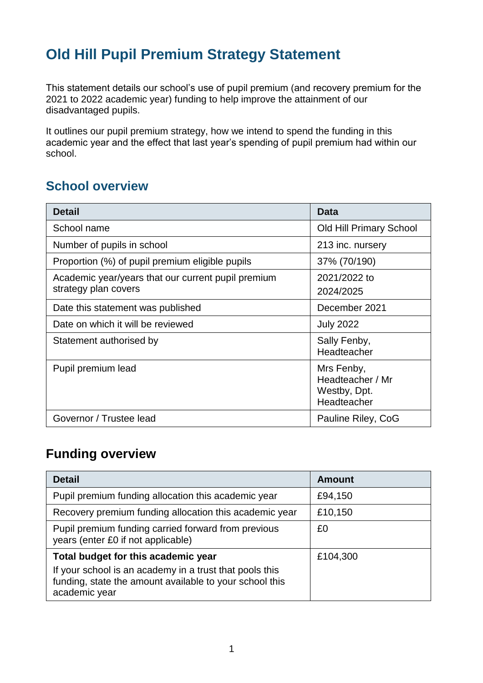# **Old Hill Pupil Premium Strategy Statement**

This statement details our school's use of pupil premium (and recovery premium for the 2021 to 2022 academic year) funding to help improve the attainment of our disadvantaged pupils.

It outlines our pupil premium strategy, how we intend to spend the funding in this academic year and the effect that last year's spending of pupil premium had within our school.

#### **School overview**

| <b>Detail</b>                                                              | <b>Data</b>                                                   |
|----------------------------------------------------------------------------|---------------------------------------------------------------|
| School name                                                                | <b>Old Hill Primary School</b>                                |
| Number of pupils in school                                                 | 213 inc. nursery                                              |
| Proportion (%) of pupil premium eligible pupils                            | 37% (70/190)                                                  |
| Academic year/years that our current pupil premium<br>strategy plan covers | 2021/2022 to<br>2024/2025                                     |
| Date this statement was published                                          | December 2021                                                 |
| Date on which it will be reviewed                                          | <b>July 2022</b>                                              |
| Statement authorised by                                                    | Sally Fenby,<br>Headteacher                                   |
| Pupil premium lead                                                         | Mrs Fenby,<br>Headteacher / Mr<br>Westby, Dpt.<br>Headteacher |
| Governor / Trustee lead                                                    | Pauline Riley, CoG                                            |

### **Funding overview**

| <b>Detail</b>                                                                                                                       | <b>Amount</b> |
|-------------------------------------------------------------------------------------------------------------------------------------|---------------|
| Pupil premium funding allocation this academic year                                                                                 | £94,150       |
| Recovery premium funding allocation this academic year                                                                              | £10,150       |
| Pupil premium funding carried forward from previous<br>years (enter £0 if not applicable)                                           | £0            |
| Total budget for this academic year                                                                                                 | £104,300      |
| If your school is an academy in a trust that pools this<br>funding, state the amount available to your school this<br>academic year |               |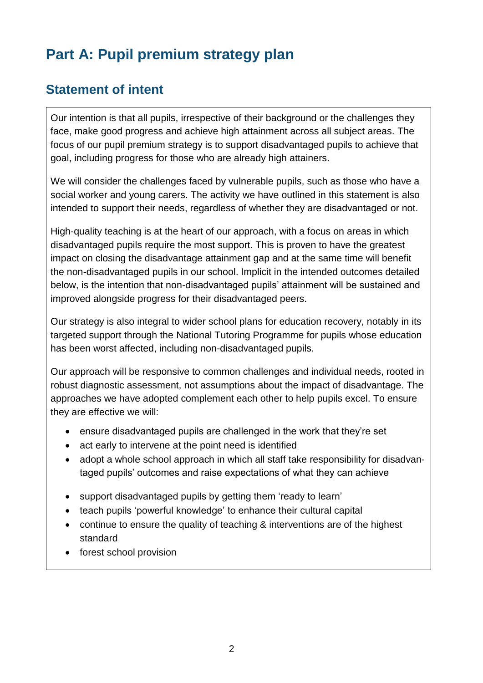# **Part A: Pupil premium strategy plan**

### **Statement of intent**

Our intention is that all pupils, irrespective of their background or the challenges they face, make good progress and achieve high attainment across all subject areas. The focus of our pupil premium strategy is to support disadvantaged pupils to achieve that goal, including progress for those who are already high attainers.

We will consider the challenges faced by vulnerable pupils, such as those who have a social worker and young carers. The activity we have outlined in this statement is also intended to support their needs, regardless of whether they are disadvantaged or not.

High-quality teaching is at the heart of our approach, with a focus on areas in which disadvantaged pupils require the most support. This is proven to have the greatest impact on closing the disadvantage attainment gap and at the same time will benefit the non-disadvantaged pupils in our school. Implicit in the intended outcomes detailed below, is the intention that non-disadvantaged pupils' attainment will be sustained and improved alongside progress for their disadvantaged peers.

Our strategy is also integral to wider school plans for education recovery, notably in its targeted support through the National Tutoring Programme for pupils whose education has been worst affected, including non-disadvantaged pupils.

Our approach will be responsive to common challenges and individual needs, rooted in robust diagnostic assessment, not assumptions about the impact of disadvantage. The approaches we have adopted complement each other to help pupils excel. To ensure they are effective we will:

- ensure disadvantaged pupils are challenged in the work that they're set
- act early to intervene at the point need is identified
- adopt a whole school approach in which all staff take responsibility for disadvantaged pupils' outcomes and raise expectations of what they can achieve
- support disadvantaged pupils by getting them 'ready to learn'
- teach pupils 'powerful knowledge' to enhance their cultural capital
- continue to ensure the quality of teaching & interventions are of the highest standard
- forest school provision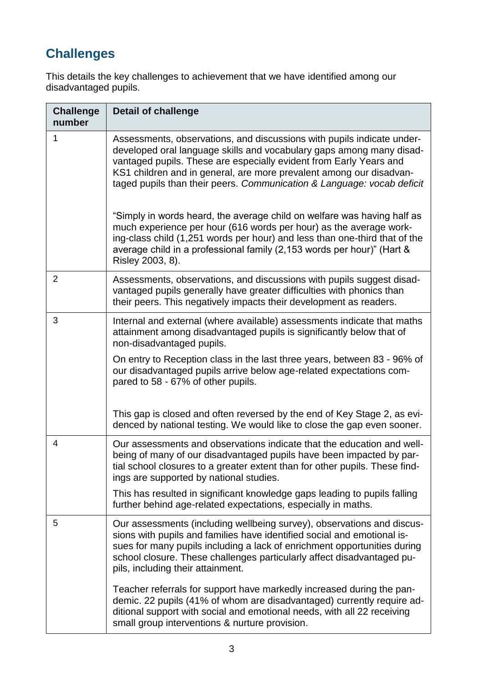## **Challenges**

This details the key challenges to achievement that we have identified among our disadvantaged pupils.

| <b>Challenge</b><br>number | <b>Detail of challenge</b>                                                                                                                                                                                                                                                                                                                                            |
|----------------------------|-----------------------------------------------------------------------------------------------------------------------------------------------------------------------------------------------------------------------------------------------------------------------------------------------------------------------------------------------------------------------|
| 1                          | Assessments, observations, and discussions with pupils indicate under-<br>developed oral language skills and vocabulary gaps among many disad-<br>vantaged pupils. These are especially evident from Early Years and<br>KS1 children and in general, are more prevalent among our disadvan-<br>taged pupils than their peers. Communication & Language: vocab deficit |
|                            | "Simply in words heard, the average child on welfare was having half as<br>much experience per hour (616 words per hour) as the average work-<br>ing-class child (1,251 words per hour) and less than one-third that of the<br>average child in a professional family (2,153 words per hour)" (Hart &<br>Risley 2003, 8).                                             |
| 2                          | Assessments, observations, and discussions with pupils suggest disad-<br>vantaged pupils generally have greater difficulties with phonics than<br>their peers. This negatively impacts their development as readers.                                                                                                                                                  |
| 3                          | Internal and external (where available) assessments indicate that maths<br>attainment among disadvantaged pupils is significantly below that of<br>non-disadvantaged pupils.                                                                                                                                                                                          |
|                            | On entry to Reception class in the last three years, between 83 - 96% of<br>our disadvantaged pupils arrive below age-related expectations com-<br>pared to 58 - 67% of other pupils.                                                                                                                                                                                 |
|                            | This gap is closed and often reversed by the end of Key Stage 2, as evi-<br>denced by national testing. We would like to close the gap even sooner.                                                                                                                                                                                                                   |
| 4                          | Our assessments and observations indicate that the education and well-<br>being of many of our disadvantaged pupils have been impacted by par-<br>tial school closures to a greater extent than for other pupils. These find-<br>ings are supported by national studies.                                                                                              |
|                            | This has resulted in significant knowledge gaps leading to pupils falling<br>further behind age-related expectations, especially in maths.                                                                                                                                                                                                                            |
| 5                          | Our assessments (including wellbeing survey), observations and discus-<br>sions with pupils and families have identified social and emotional is-<br>sues for many pupils including a lack of enrichment opportunities during<br>school closure. These challenges particularly affect disadvantaged pu-<br>pils, including their attainment.                          |
|                            | Teacher referrals for support have markedly increased during the pan-<br>demic. 22 pupils (41% of whom are disadvantaged) currently require ad-<br>ditional support with social and emotional needs, with all 22 receiving<br>small group interventions & nurture provision.                                                                                          |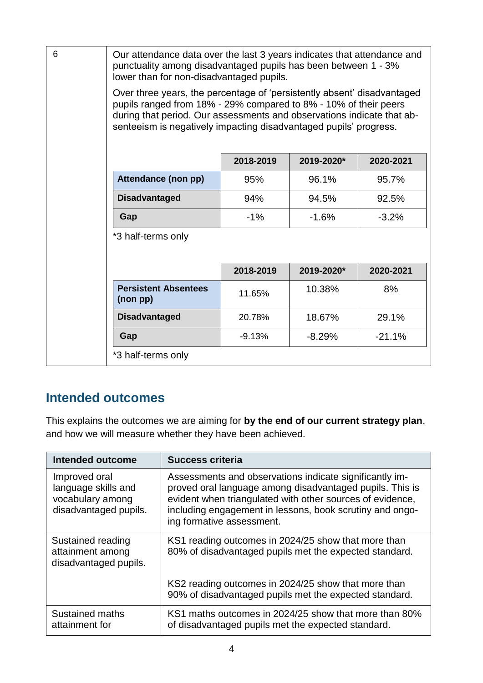| 6 | Our attendance data over the last 3 years indicates that attendance and<br>punctuality among disadvantaged pupils has been between 1 - 3%<br>lower than for non-disadvantaged pupils.                                                                                                      |           |            |           |  |
|---|--------------------------------------------------------------------------------------------------------------------------------------------------------------------------------------------------------------------------------------------------------------------------------------------|-----------|------------|-----------|--|
|   | Over three years, the percentage of 'persistently absent' disadvantaged<br>pupils ranged from 18% - 29% compared to 8% - 10% of their peers<br>during that period. Our assessments and observations indicate that ab-<br>senteeism is negatively impacting disadvantaged pupils' progress. |           |            |           |  |
|   |                                                                                                                                                                                                                                                                                            | 2018-2019 | 2019-2020* | 2020-2021 |  |
|   | Attendance (non pp)                                                                                                                                                                                                                                                                        | 95%       | 96.1%      | 95.7%     |  |
|   | <b>Disadvantaged</b>                                                                                                                                                                                                                                                                       | 94%       | 94.5%      | 92.5%     |  |
|   | Gap                                                                                                                                                                                                                                                                                        | $-1%$     | $-1.6%$    | $-3.2%$   |  |
|   | *3 half-terms only                                                                                                                                                                                                                                                                         |           |            |           |  |
|   | 2018-2019<br>2019-2020*<br>2020-2021                                                                                                                                                                                                                                                       |           |            |           |  |
|   | <b>Persistent Absentees</b><br>(non pp)                                                                                                                                                                                                                                                    | 11.65%    | 10.38%     | 8%        |  |
|   | <b>Disadvantaged</b>                                                                                                                                                                                                                                                                       | 20.78%    | 18.67%     | 29.1%     |  |
|   | Gap                                                                                                                                                                                                                                                                                        | $-9.13%$  | $-8.29%$   | $-21.1%$  |  |
|   | *3 half-terms only                                                                                                                                                                                                                                                                         |           |            |           |  |

### **Intended outcomes**

This explains the outcomes we are aiming for **by the end of our current strategy plan**, and how we will measure whether they have been achieved.

| <b>Intended outcome</b>                                                           | <b>Success criteria</b>                                                                                                                                                                                                                                                   |
|-----------------------------------------------------------------------------------|---------------------------------------------------------------------------------------------------------------------------------------------------------------------------------------------------------------------------------------------------------------------------|
| Improved oral<br>language skills and<br>vocabulary among<br>disadvantaged pupils. | Assessments and observations indicate significantly im-<br>proved oral language among disadvantaged pupils. This is<br>evident when triangulated with other sources of evidence,<br>including engagement in lessons, book scrutiny and ongo-<br>ing formative assessment. |
| Sustained reading<br>attainment among<br>disadvantaged pupils.                    | KS1 reading outcomes in 2024/25 show that more than<br>80% of disadvantaged pupils met the expected standard.                                                                                                                                                             |
|                                                                                   | KS2 reading outcomes in 2024/25 show that more than<br>90% of disadvantaged pupils met the expected standard.                                                                                                                                                             |
| Sustained maths<br>attainment for                                                 | KS1 maths outcomes in 2024/25 show that more than 80%<br>of disadvantaged pupils met the expected standard.                                                                                                                                                               |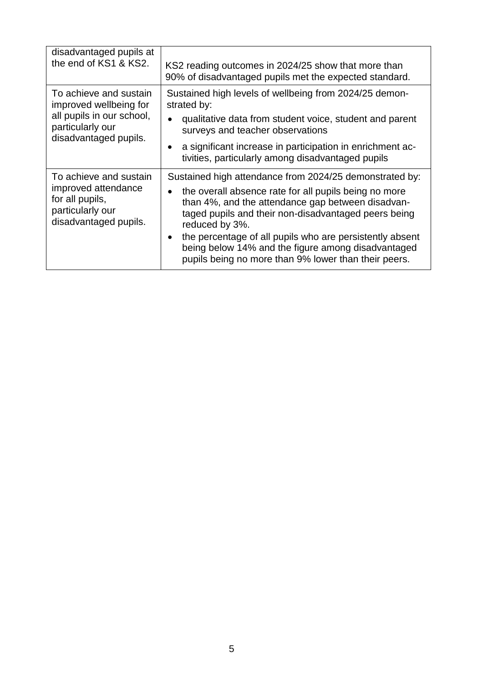| disadvantaged pupils at<br>the end of KS1 & KS2.                                                                           | KS2 reading outcomes in 2024/25 show that more than<br>90% of disadvantaged pupils met the expected standard.                                                                                                                                                                                                                                                                                                             |
|----------------------------------------------------------------------------------------------------------------------------|---------------------------------------------------------------------------------------------------------------------------------------------------------------------------------------------------------------------------------------------------------------------------------------------------------------------------------------------------------------------------------------------------------------------------|
| To achieve and sustain<br>improved wellbeing for<br>all pupils in our school,<br>particularly our<br>disadvantaged pupils. | Sustained high levels of wellbeing from 2024/25 demon-<br>strated by:<br>qualitative data from student voice, student and parent<br>surveys and teacher observations<br>a significant increase in participation in enrichment ac-<br>tivities, particularly among disadvantaged pupils                                                                                                                                    |
| To achieve and sustain<br>improved attendance<br>for all pupils,<br>particularly our<br>disadvantaged pupils.              | Sustained high attendance from 2024/25 demonstrated by:<br>the overall absence rate for all pupils being no more<br>than 4%, and the attendance gap between disadvan-<br>taged pupils and their non-disadvantaged peers being<br>reduced by 3%.<br>the percentage of all pupils who are persistently absent<br>being below 14% and the figure among disadvantaged<br>pupils being no more than 9% lower than their peers. |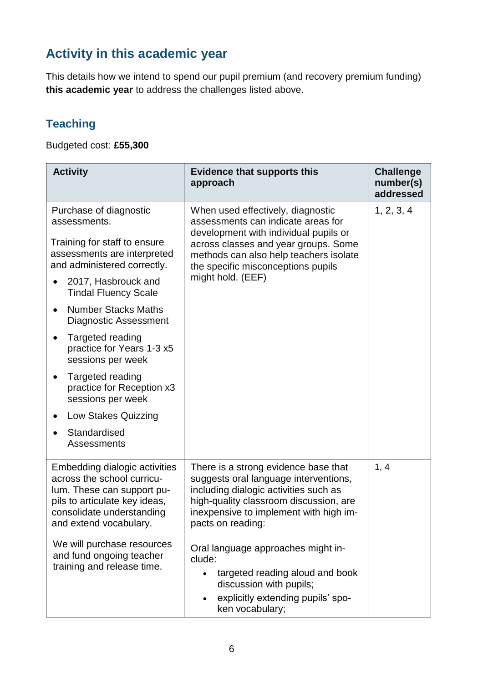## **Activity in this academic year**

This details how we intend to spend our pupil premium (and recovery premium funding) **this academic year** to address the challenges listed above.

#### **Teaching**

Budgeted cost: **£55,300**

| <b>Activity</b>                                                                                                                                                                   | <b>Evidence that supports this</b><br>approach                                                                                                                                                                                  | <b>Challenge</b><br>number(s)<br>addressed |
|-----------------------------------------------------------------------------------------------------------------------------------------------------------------------------------|---------------------------------------------------------------------------------------------------------------------------------------------------------------------------------------------------------------------------------|--------------------------------------------|
| Purchase of diagnostic<br>assessments.                                                                                                                                            | When used effectively, diagnostic<br>assessments can indicate areas for<br>development with individual pupils or                                                                                                                | 1, 2, 3, 4                                 |
| Training for staff to ensure<br>assessments are interpreted<br>and administered correctly.                                                                                        | across classes and year groups. Some<br>methods can also help teachers isolate<br>the specific misconceptions pupils                                                                                                            |                                            |
| 2017, Hasbrouck and<br><b>Tindal Fluency Scale</b>                                                                                                                                | might hold. (EEF)                                                                                                                                                                                                               |                                            |
| <b>Number Stacks Maths</b><br>$\bullet$<br><b>Diagnostic Assessment</b>                                                                                                           |                                                                                                                                                                                                                                 |                                            |
| Targeted reading<br>practice for Years 1-3 x5<br>sessions per week                                                                                                                |                                                                                                                                                                                                                                 |                                            |
| Targeted reading<br>practice for Reception x3<br>sessions per week                                                                                                                |                                                                                                                                                                                                                                 |                                            |
| <b>Low Stakes Quizzing</b>                                                                                                                                                        |                                                                                                                                                                                                                                 |                                            |
| Standardised<br><b>Assessments</b>                                                                                                                                                |                                                                                                                                                                                                                                 |                                            |
| Embedding dialogic activities<br>across the school curricu-<br>lum. These can support pu-<br>pils to articulate key ideas,<br>consolidate understanding<br>and extend vocabulary. | There is a strong evidence base that<br>suggests oral language interventions,<br>including dialogic activities such as<br>high-quality classroom discussion, are<br>inexpensive to implement with high im-<br>pacts on reading: | 1, 4                                       |
| We will purchase resources<br>and fund ongoing teacher<br>training and release time.                                                                                              | Oral language approaches might in-<br>clude:<br>targeted reading aloud and book<br>discussion with pupils;                                                                                                                      |                                            |
|                                                                                                                                                                                   | explicitly extending pupils' spo-<br>ken vocabulary;                                                                                                                                                                            |                                            |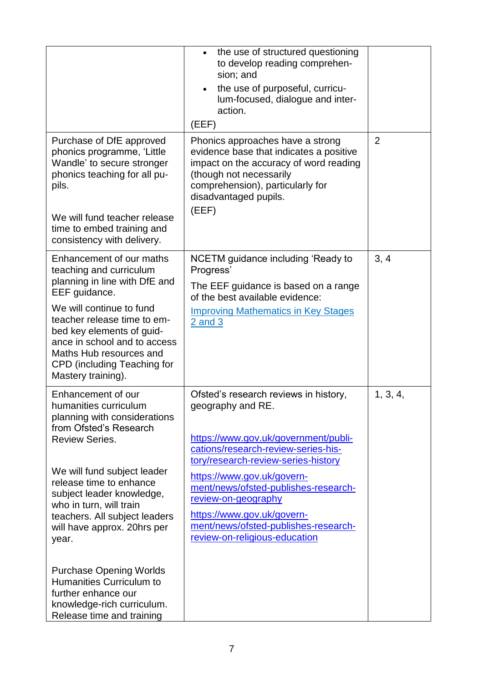|                                                                                                                                                                                                                                                                                                                           | the use of structured questioning<br>$\bullet$<br>to develop reading comprehen-<br>sion; and<br>the use of purposeful, curricu-<br>$\bullet$<br>lum-focused, dialogue and inter-<br>action.<br>(EEF)                                                                                                                                                                                 |                |
|---------------------------------------------------------------------------------------------------------------------------------------------------------------------------------------------------------------------------------------------------------------------------------------------------------------------------|--------------------------------------------------------------------------------------------------------------------------------------------------------------------------------------------------------------------------------------------------------------------------------------------------------------------------------------------------------------------------------------|----------------|
| Purchase of DfE approved<br>phonics programme, 'Little<br>Wandle' to secure stronger<br>phonics teaching for all pu-<br>pils.<br>We will fund teacher release<br>time to embed training and                                                                                                                               | Phonics approaches have a strong<br>evidence base that indicates a positive<br>impact on the accuracy of word reading<br>(though not necessarily<br>comprehension), particularly for<br>disadvantaged pupils.<br>(EEF)                                                                                                                                                               | $\overline{2}$ |
| consistency with delivery.                                                                                                                                                                                                                                                                                                |                                                                                                                                                                                                                                                                                                                                                                                      |                |
| Enhancement of our maths<br>teaching and curriculum<br>planning in line with DfE and<br>EEF guidance.<br>We will continue to fund<br>teacher release time to em-<br>bed key elements of guid-<br>ance in school and to access<br>Maths Hub resources and<br>CPD (including Teaching for<br>Mastery training).             | NCETM guidance including 'Ready to<br>Progress'<br>The EEF guidance is based on a range<br>of the best available evidence:<br><b>Improving Mathematics in Key Stages</b><br>$2$ and $3$                                                                                                                                                                                              | 3, 4           |
| Enhancement of our<br>humanities curriculum<br>planning with considerations<br>from Ofsted's Research<br><b>Review Series.</b><br>We will fund subject leader<br>release time to enhance<br>subject leader knowledge,<br>who in turn, will train<br>teachers. All subject leaders<br>will have approx. 20hrs per<br>year. | Ofsted's research reviews in history,<br>geography and RE.<br>https://www.gov.uk/government/publi-<br>cations/research-review-series-his-<br>tory/research-review-series-history<br>https://www.gov.uk/govern-<br>ment/news/ofsted-publishes-research-<br>review-on-geography<br>https://www.gov.uk/govern-<br>ment/news/ofsted-publishes-research-<br>review-on-religious-education | 1, 3, 4,       |
| <b>Purchase Opening Worlds</b><br>Humanities Curriculum to<br>further enhance our<br>knowledge-rich curriculum.<br>Release time and training                                                                                                                                                                              |                                                                                                                                                                                                                                                                                                                                                                                      |                |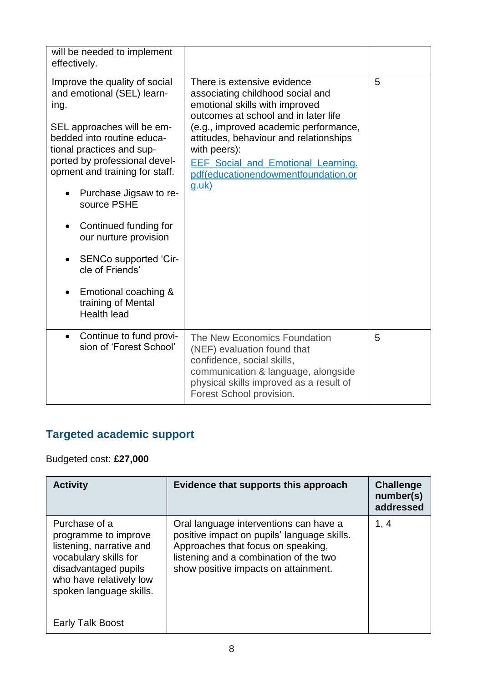| will be needed to implement<br>effectively.                                                                                                                                                                                                                                                                                                                                                                                                |                                                                                                                                                                                                                                                                                                                                                 |   |
|--------------------------------------------------------------------------------------------------------------------------------------------------------------------------------------------------------------------------------------------------------------------------------------------------------------------------------------------------------------------------------------------------------------------------------------------|-------------------------------------------------------------------------------------------------------------------------------------------------------------------------------------------------------------------------------------------------------------------------------------------------------------------------------------------------|---|
| Improve the quality of social<br>and emotional (SEL) learn-<br>ing.<br>SEL approaches will be em-<br>bedded into routine educa-<br>tional practices and sup-<br>ported by professional devel-<br>opment and training for staff.<br>Purchase Jigsaw to re-<br>source PSHE<br>Continued funding for<br>our nurture provision<br>SENCo supported 'Cir-<br>cle of Friends'<br>Emotional coaching &<br>training of Mental<br><b>Health lead</b> | There is extensive evidence<br>associating childhood social and<br>emotional skills with improved<br>outcomes at school and in later life<br>(e.g., improved academic performance,<br>attitudes, behaviour and relationships<br>with peers):<br><b>EEF Social and Emotional Learning.</b><br>pdf(educationendowmentfoundation.or<br>$g.$ uk $)$ | 5 |
| Continue to fund provi-<br>$\bullet$<br>sion of 'Forest School'                                                                                                                                                                                                                                                                                                                                                                            | The New Economics Foundation<br>(NEF) evaluation found that<br>confidence, social skills,<br>communication & language, alongside<br>physical skills improved as a result of<br>Forest School provision.                                                                                                                                         | 5 |

## **Targeted academic support**

#### Budgeted cost: **£27,000**

| <b>Activity</b>                                                                                                                                                          | Evidence that supports this approach                                                                                                                                                                          | <b>Challenge</b><br>number(s)<br>addressed |
|--------------------------------------------------------------------------------------------------------------------------------------------------------------------------|---------------------------------------------------------------------------------------------------------------------------------------------------------------------------------------------------------------|--------------------------------------------|
| Purchase of a<br>programme to improve<br>listening, narrative and<br>vocabulary skills for<br>disadvantaged pupils<br>who have relatively low<br>spoken language skills. | Oral language interventions can have a<br>positive impact on pupils' language skills.<br>Approaches that focus on speaking,<br>listening and a combination of the two<br>show positive impacts on attainment. | 1, 4                                       |
| Talk Boost<br>Early                                                                                                                                                      |                                                                                                                                                                                                               |                                            |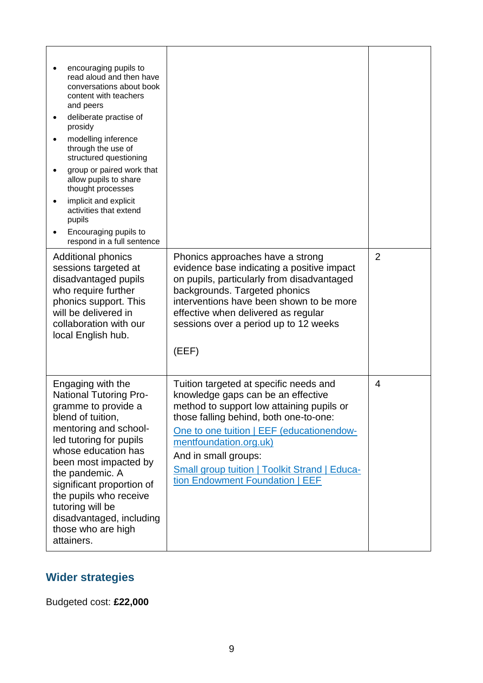| encouraging pupils to<br>read aloud and then have<br>conversations about book<br>content with teachers<br>and peers<br>deliberate practise of<br>prosidy<br>modelling inference<br>$\bullet$<br>through the use of<br>structured questioning<br>group or paired work that<br>allow pupils to share<br>thought processes<br>implicit and explicit<br>activities that extend<br>pupils<br>Encouraging pupils to<br>respond in a full sentence |                                                                                                                                                                                                                                                                                                                                                        |                |
|---------------------------------------------------------------------------------------------------------------------------------------------------------------------------------------------------------------------------------------------------------------------------------------------------------------------------------------------------------------------------------------------------------------------------------------------|--------------------------------------------------------------------------------------------------------------------------------------------------------------------------------------------------------------------------------------------------------------------------------------------------------------------------------------------------------|----------------|
| <b>Additional phonics</b><br>sessions targeted at<br>disadvantaged pupils<br>who require further<br>phonics support. This<br>will be delivered in<br>collaboration with our<br>local English hub.                                                                                                                                                                                                                                           | Phonics approaches have a strong<br>evidence base indicating a positive impact<br>on pupils, particularly from disadvantaged<br>backgrounds. Targeted phonics<br>interventions have been shown to be more<br>effective when delivered as regular<br>sessions over a period up to 12 weeks<br>(EEF)                                                     | $\overline{2}$ |
| Engaging with the<br><b>National Tutoring Pro-</b><br>gramme to provide a<br>blend of tuition,<br>mentoring and school-<br>led tutoring for pupils<br>whose education has<br>been most impacted by<br>the pandemic. A<br>significant proportion of<br>the pupils who receive<br>tutoring will be<br>disadvantaged, including<br>those who are high<br>attainers.                                                                            | Tuition targeted at specific needs and<br>knowledge gaps can be an effective<br>method to support low attaining pupils or<br>those falling behind, both one-to-one:<br>One to one tuition   EEF (educationendow-<br>mentfoundation.org.uk)<br>And in small groups:<br>Small group tuition   Toolkit Strand   Educa-<br>tion Endowment Foundation   EEF | 4              |

### **Wider strategies**

Budgeted cost: **£22,000**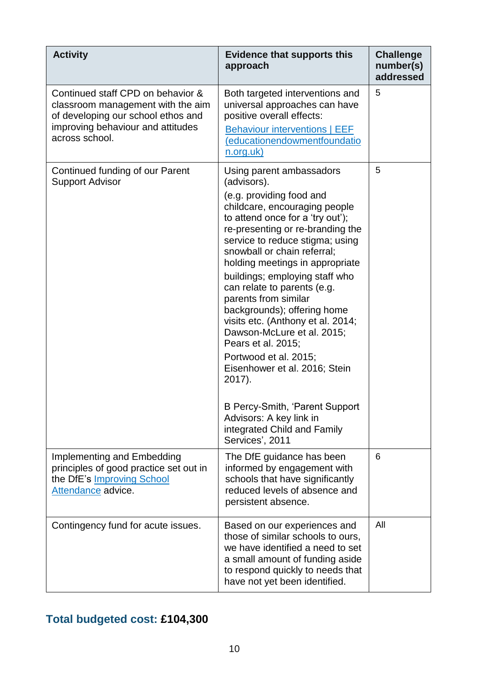| <b>Activity</b>                                                                                                                                                     | <b>Evidence that supports this</b><br>approach                                                                                                                                                                                                                                                                                                                                                                                                                                                                                                                                                                                                                                               | <b>Challenge</b><br>number(s)<br>addressed |
|---------------------------------------------------------------------------------------------------------------------------------------------------------------------|----------------------------------------------------------------------------------------------------------------------------------------------------------------------------------------------------------------------------------------------------------------------------------------------------------------------------------------------------------------------------------------------------------------------------------------------------------------------------------------------------------------------------------------------------------------------------------------------------------------------------------------------------------------------------------------------|--------------------------------------------|
| Continued staff CPD on behavior &<br>classroom management with the aim<br>of developing our school ethos and<br>improving behaviour and attitudes<br>across school. | Both targeted interventions and<br>universal approaches can have<br>positive overall effects:<br><b>Behaviour interventions   EEF</b><br>(educationendowmentfoundatio<br><u>n.org.uk)</u>                                                                                                                                                                                                                                                                                                                                                                                                                                                                                                    | 5                                          |
| Continued funding of our Parent<br><b>Support Advisor</b>                                                                                                           | Using parent ambassadors<br>(advisors).<br>(e.g. providing food and<br>childcare, encouraging people<br>to attend once for a 'try out');<br>re-presenting or re-branding the<br>service to reduce stigma; using<br>snowball or chain referral;<br>holding meetings in appropriate<br>buildings; employing staff who<br>can relate to parents (e.g.<br>parents from similar<br>backgrounds); offering home<br>visits etc. (Anthony et al. 2014;<br>Dawson-McLure et al. 2015;<br>Pears et al. 2015;<br>Portwood et al. 2015;<br>Eisenhower et al. 2016; Stein<br>2017).<br><b>B Percy-Smith, 'Parent Support</b><br>Advisors: A key link in<br>integrated Child and Family<br>Services', 2011 | 5                                          |
| <b>Implementing and Embedding</b><br>principles of good practice set out in<br>the DfE's <b>Improving School</b><br>Attendance advice.                              | The DfE guidance has been<br>informed by engagement with<br>schools that have significantly<br>reduced levels of absence and<br>persistent absence.                                                                                                                                                                                                                                                                                                                                                                                                                                                                                                                                          | 6                                          |
| Contingency fund for acute issues.                                                                                                                                  | Based on our experiences and<br>those of similar schools to ours,<br>we have identified a need to set<br>a small amount of funding aside<br>to respond quickly to needs that<br>have not yet been identified.                                                                                                                                                                                                                                                                                                                                                                                                                                                                                | All                                        |

### **Total budgeted cost: £104,300**